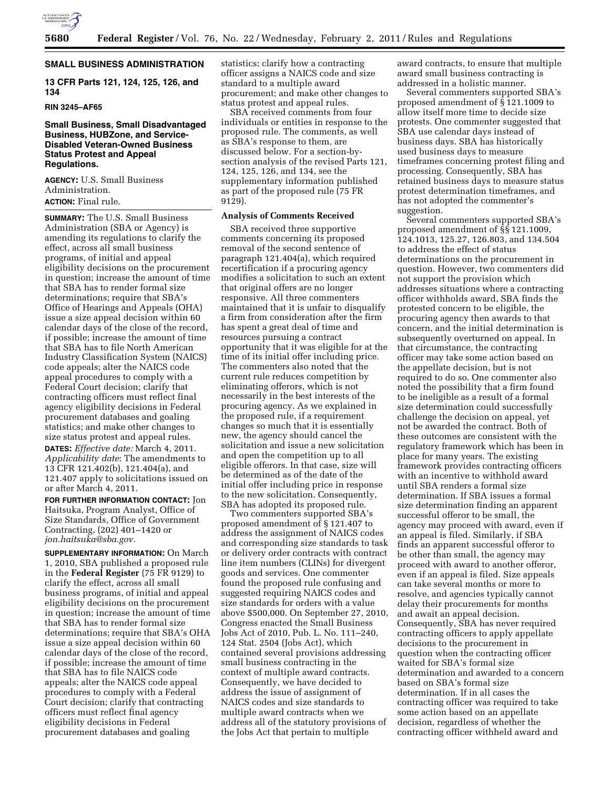

#### **SMALL BUSINESS ADMINISTRATION**

**13 CFR Parts 121, 124, 125, 126, and 134** 

#### **RIN 3245–AF65**

## **Small Business, Small Disadvantaged Business, HUBZone, and Service-Disabled Veteran-Owned Business Status Protest and Appeal Regulations.**

**AGENCY:** U.S. Small Business Administration. **ACTION:** Final rule.

**SUMMARY:** The U.S. Small Business Administration (SBA or Agency) is amending its regulations to clarify the effect, across all small business programs, of initial and appeal eligibility decisions on the procurement in question; increase the amount of time that SBA has to render formal size determinations; require that SBA's Office of Hearings and Appeals (OHA) issue a size appeal decision within 60 calendar days of the close of the record, if possible; increase the amount of time that SBA has to file North American Industry Classification System (NAICS) code appeals; alter the NAICS code appeal procedures to comply with a Federal Court decision; clarify that contracting officers must reflect final agency eligibility decisions in Federal procurement databases and goaling statistics; and make other changes to size status protest and appeal rules.

**DATES:** *Effective date:* March 4, 2011. *Applicability date*: The amendments to 13 CFR 121.402(b), 121.404(a), and 121.407 apply to solicitations issued on or after March 4, 2011.

**FOR FURTHER INFORMATION CONTACT:** Jon Haitsuka, Program Analyst, Office of Size Standards, Office of Government Contracting, (202) 401–1420 or *[jon.haitsuka@sba.gov.](mailto:jon.haitsuka@sba.gov)* 

**SUPPLEMENTARY INFORMATION:** On March 1, 2010, SBA published a proposed rule in the **Federal Register** (75 FR 9129) to clarify the effect, across all small business programs, of initial and appeal eligibility decisions on the procurement in question; increase the amount of time that SBA has to render formal size determinations; require that SBA's OHA issue a size appeal decision within 60 calendar days of the close of the record, if possible; increase the amount of time that SBA has to file NAICS code appeals; alter the NAICS code appeal procedures to comply with a Federal Court decision; clarify that contracting officers must reflect final agency eligibility decisions in Federal procurement databases and goaling

statistics; clarify how a contracting officer assigns a NAICS code and size standard to a multiple award procurement; and make other changes to status protest and appeal rules.

SBA received comments from four individuals or entities in response to the proposed rule. The comments, as well as SBA's response to them, are discussed below. For a section-bysection analysis of the revised Parts 121, 124, 125, 126, and 134, see the supplementary information published as part of the proposed rule (75 FR 9129).

## **Analysis of Comments Received**

SBA received three supportive comments concerning its proposed removal of the second sentence of paragraph 121.404(a), which required recertification if a procuring agency modifies a solicitation to such an extent that original offers are no longer responsive. All three commenters maintained that it is unfair to disqualify a firm from consideration after the firm has spent a great deal of time and resources pursuing a contract opportunity that it was eligible for at the time of its initial offer including price. The commenters also noted that the current rule reduces competition by eliminating offerors, which is not necessarily in the best interests of the procuring agency. As we explained in the proposed rule, if a requirement changes so much that it is essentially new, the agency should cancel the solicitation and issue a new solicitation and open the competition up to all eligible offerors. In that case, size will be determined as of the date of the initial offer including price in response to the new solicitation. Consequently, SBA has adopted its proposed rule.

Two commenters supported SBA's proposed amendment of § 121.407 to address the assignment of NAICS codes and corresponding size standards to task or delivery order contracts with contract line item numbers (CLINs) for divergent goods and services. One commenter found the proposed rule confusing and suggested requiring NAICS codes and size standards for orders with a value above \$500,000. On September 27, 2010, Congress enacted the Small Business Jobs Act of 2010, Pub. L. No. 111–240, 124 Stat. 2504 (Jobs Act), which contained several provisions addressing small business contracting in the context of multiple award contracts. Consequently, we have decided to address the issue of assignment of NAICS codes and size standards to multiple award contracts when we address all of the statutory provisions of the Jobs Act that pertain to multiple

award contracts, to ensure that multiple award small business contracting is addressed in a holistic manner.

Several commenters supported SBA's proposed amendment of § 121.1009 to allow itself more time to decide size protests. One commenter suggested that SBA use calendar days instead of business days. SBA has historically used business days to measure timeframes concerning protest filing and processing. Consequently, SBA has retained business days to measure status protest determination timeframes, and has not adopted the commenter's suggestion.

Several commenters supported SBA's proposed amendment of §§ 121.1009, 124.1013, 125.27, 126.803, and 134.504 to address the effect of status determinations on the procurement in question. However, two commenters did not support the provision which addresses situations where a contracting officer withholds award, SBA finds the protested concern to be eligible, the procuring agency then awards to that concern, and the initial determination is subsequently overturned on appeal. In that circumstance, the contracting officer may take some action based on the appellate decision, but is not required to do so. One commenter also noted the possibility that a firm found to be ineligible as a result of a formal size determination could successfully challenge the decision on appeal, yet not be awarded the contract. Both of these outcomes are consistent with the regulatory framework which has been in place for many years. The existing framework provides contracting officers with an incentive to withhold award until SBA renders a formal size determination. If SBA issues a formal size determination finding an apparent successful offeror to be small, the agency may proceed with award, even if an appeal is filed. Similarly, if SBA finds an apparent successful offeror to be other than small, the agency may proceed with award to another offeror, even if an appeal is filed. Size appeals can take several months or more to resolve, and agencies typically cannot delay their procurements for months and await an appeal decision. Consequently, SBA has never required contracting officers to apply appellate decisions to the procurement in question when the contracting officer waited for SBA's formal size determination and awarded to a concern based on SBA's formal size determination. If in all cases the contracting officer was required to take some action based on an appellate decision, regardless of whether the contracting officer withheld award and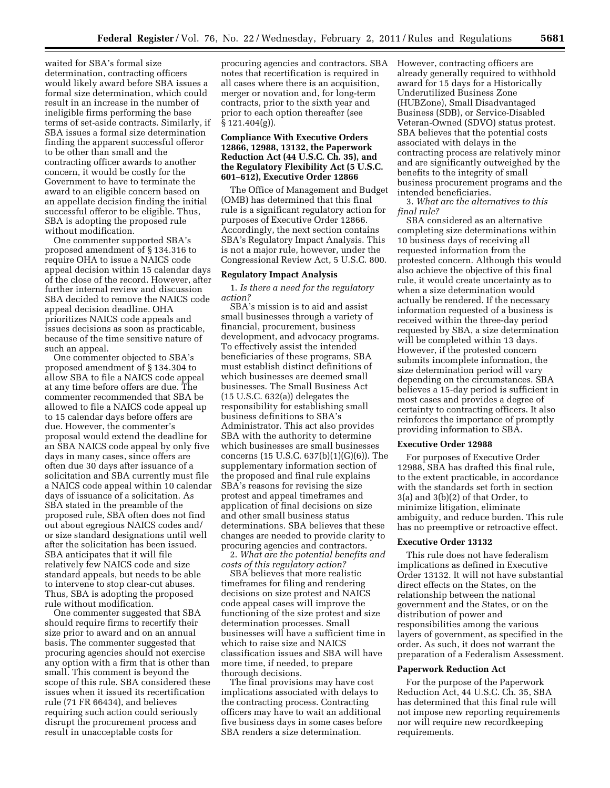waited for SBA's formal size determination, contracting officers would likely award before SBA issues a formal size determination, which could result in an increase in the number of ineligible firms performing the base terms of set-aside contracts. Similarly, if SBA issues a formal size determination finding the apparent successful offeror to be other than small and the contracting officer awards to another concern, it would be costly for the Government to have to terminate the award to an eligible concern based on an appellate decision finding the initial successful offeror to be eligible. Thus, SBA is adopting the proposed rule without modification.

One commenter supported SBA's proposed amendment of § 134.316 to require OHA to issue a NAICS code appeal decision within 15 calendar days of the close of the record. However, after further internal review and discussion SBA decided to remove the NAICS code appeal decision deadline. OHA prioritizes NAICS code appeals and issues decisions as soon as practicable, because of the time sensitive nature of such an appeal.

One commenter objected to SBA's proposed amendment of § 134.304 to allow SBA to file a NAICS code appeal at any time before offers are due. The commenter recommended that SBA be allowed to file a NAICS code appeal up to 15 calendar days before offers are due. However, the commenter's proposal would extend the deadline for an SBA NAICS code appeal by only five days in many cases, since offers are often due 30 days after issuance of a solicitation and SBA currently must file a NAICS code appeal within 10 calendar days of issuance of a solicitation. As SBA stated in the preamble of the proposed rule, SBA often does not find out about egregious NAICS codes and/ or size standard designations until well after the solicitation has been issued. SBA anticipates that it will file relatively few NAICS code and size standard appeals, but needs to be able to intervene to stop clear-cut abuses. Thus, SBA is adopting the proposed rule without modification.

One commenter suggested that SBA should require firms to recertify their size prior to award and on an annual basis. The commenter suggested that procuring agencies should not exercise any option with a firm that is other than small. This comment is beyond the scope of this rule. SBA considered these issues when it issued its recertification rule (71 FR 66434), and believes requiring such action could seriously disrupt the procurement process and result in unacceptable costs for

procuring agencies and contractors. SBA notes that recertification is required in all cases where there is an acquisition, merger or novation and, for long-term contracts, prior to the sixth year and prior to each option thereafter (see § 121.404(g)).

# **Compliance With Executive Orders 12866, 12988, 13132, the Paperwork Reduction Act (44 U.S.C. Ch. 35), and the Regulatory Flexibility Act (5 U.S.C. 601–612), Executive Order 12866**

The Office of Management and Budget (OMB) has determined that this final rule is a significant regulatory action for purposes of Executive Order 12866. Accordingly, the next section contains SBA's Regulatory Impact Analysis. This is not a major rule, however, under the Congressional Review Act, 5 U.S.C. 800.

### **Regulatory Impact Analysis**

1. *Is there a need for the regulatory action?* 

SBA's mission is to aid and assist small businesses through a variety of financial, procurement, business development, and advocacy programs. To effectively assist the intended beneficiaries of these programs, SBA must establish distinct definitions of which businesses are deemed small businesses. The Small Business Act (15 U.S.C. 632(a)) delegates the responsibility for establishing small business definitions to SBA's Administrator. This act also provides SBA with the authority to determine which businesses are small businesses concerns (15 U.S.C. 637(b)(1)(G)(6)). The supplementary information section of the proposed and final rule explains SBA's reasons for revising the size protest and appeal timeframes and application of final decisions on size and other small business status determinations. SBA believes that these changes are needed to provide clarity to procuring agencies and contractors.

2. *What are the potential benefits and costs of this regulatory action?* 

SBA believes that more realistic timeframes for filing and rendering decisions on size protest and NAICS code appeal cases will improve the functioning of the size protest and size determination processes. Small businesses will have a sufficient time in which to raise size and NAICS classification issues and SBA will have more time, if needed, to prepare thorough decisions.

The final provisions may have cost implications associated with delays to the contracting process. Contracting officers may have to wait an additional five business days in some cases before SBA renders a size determination.

However, contracting officers are already generally required to withhold award for 15 days for a Historically Underutilized Business Zone (HUBZone), Small Disadvantaged Business (SDB), or Service-Disabled Veteran-Owned (SDVO) status protest. SBA believes that the potential costs associated with delays in the contracting process are relatively minor and are significantly outweighed by the benefits to the integrity of small business procurement programs and the intended beneficiaries.

3. *What are the alternatives to this final rule?* 

SBA considered as an alternative completing size determinations within 10 business days of receiving all requested information from the protested concern. Although this would also achieve the objective of this final rule, it would create uncertainty as to when a size determination would actually be rendered. If the necessary information requested of a business is received within the three-day period requested by SBA, a size determination will be completed within 13 days. However, if the protested concern submits incomplete information, the size determination period will vary depending on the circumstances. SBA believes a 15-day period is sufficient in most cases and provides a degree of certainty to contracting officers. It also reinforces the importance of promptly providing information to SBA.

#### **Executive Order 12988**

For purposes of Executive Order 12988, SBA has drafted this final rule, to the extent practicable, in accordance with the standards set forth in section 3(a) and 3(b)(2) of that Order, to minimize litigation, eliminate ambiguity, and reduce burden. This rule has no preemptive or retroactive effect.

## **Executive Order 13132**

This rule does not have federalism implications as defined in Executive Order 13132. It will not have substantial direct effects on the States, on the relationship between the national government and the States, or on the distribution of power and responsibilities among the various layers of government, as specified in the order. As such, it does not warrant the preparation of a Federalism Assessment.

#### **Paperwork Reduction Act**

For the purpose of the Paperwork Reduction Act, 44 U.S.C. Ch. 35, SBA has determined that this final rule will not impose new reporting requirements nor will require new recordkeeping requirements.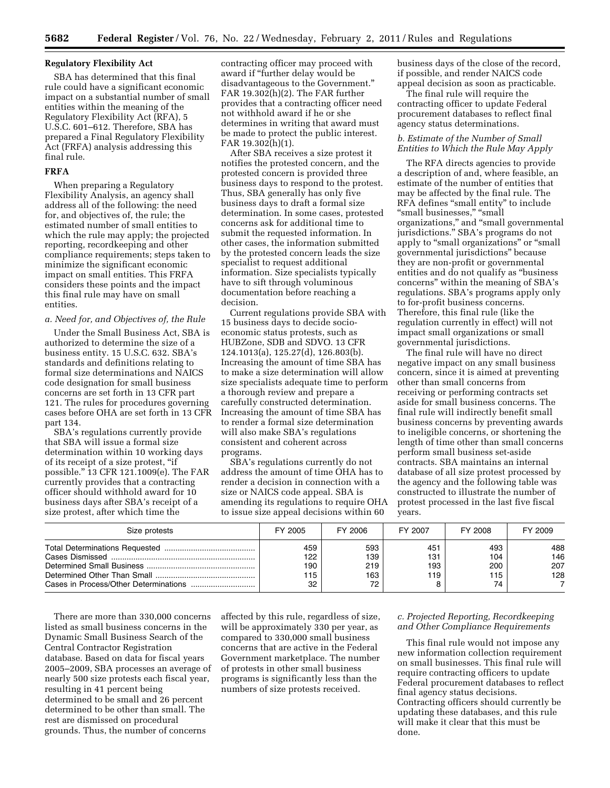## **Regulatory Flexibility Act**

SBA has determined that this final rule could have a significant economic impact on a substantial number of small entities within the meaning of the Regulatory Flexibility Act (RFA), 5 U.S.C. 601–612. Therefore, SBA has prepared a Final Regulatory Flexibility Act (FRFA) analysis addressing this final rule.

## **FRFA**

When preparing a Regulatory Flexibility Analysis, an agency shall address all of the following: the need for, and objectives of, the rule; the estimated number of small entities to which the rule may apply; the projected reporting, recordkeeping and other compliance requirements; steps taken to minimize the significant economic impact on small entities. This FRFA considers these points and the impact this final rule may have on small entities.

#### *a. Need for, and Objectives of, the Rule*

Under the Small Business Act, SBA is authorized to determine the size of a business entity. 15 U.S.C. 632. SBA's standards and definitions relating to formal size determinations and NAICS code designation for small business concerns are set forth in 13 CFR part 121. The rules for procedures governing cases before OHA are set forth in 13 CFR part 134.

SBA's regulations currently provide that SBA will issue a formal size determination within 10 working days of its receipt of a size protest, ''if possible.'' 13 CFR 121.1009(e). The FAR currently provides that a contracting officer should withhold award for 10 business days after SBA's receipt of a size protest, after which time the

contracting officer may proceed with award if ''further delay would be disadvantageous to the Government.'' FAR 19.302(h)(2). The FAR further provides that a contracting officer need not withhold award if he or she determines in writing that award must be made to protect the public interest. FAR 19.302(h)(1).

After SBA receives a size protest it notifies the protested concern, and the protested concern is provided three business days to respond to the protest. Thus, SBA generally has only five business days to draft a formal size determination. In some cases, protested concerns ask for additional time to submit the requested information. In other cases, the information submitted by the protested concern leads the size specialist to request additional information. Size specialists typically have to sift through voluminous documentation before reaching a decision.

Current regulations provide SBA with 15 business days to decide socioeconomic status protests, such as HUBZone, SDB and SDVO. 13 CFR 124.1013(a), 125.27(d), 126.803(b). Increasing the amount of time SBA has to make a size determination will allow size specialists adequate time to perform a thorough review and prepare a carefully constructed determination. Increasing the amount of time SBA has to render a formal size determination will also make SBA's regulations consistent and coherent across programs.

SBA's regulations currently do not address the amount of time OHA has to render a decision in connection with a size or NAICS code appeal. SBA is amending its regulations to require OHA to issue size appeal decisions within 60

business days of the close of the record, if possible, and render NAICS code appeal decision as soon as practicable.

The final rule will require the contracting officer to update Federal procurement databases to reflect final agency status determinations.

## *b. Estimate of the Number of Small Entities to Which the Rule May Apply*

The RFA directs agencies to provide a description of and, where feasible, an estimate of the number of entities that may be affected by the final rule. The RFA defines ''small entity'' to include ''small businesses,'' ''small organizations,'' and ''small governmental jurisdictions.'' SBA's programs do not apply to "small organizations" or "small governmental jurisdictions'' because they are non-profit or governmental entities and do not qualify as ''business concerns'' within the meaning of SBA's regulations. SBA's programs apply only to for-profit business concerns. Therefore, this final rule (like the regulation currently in effect) will not impact small organizations or small governmental jurisdictions.

The final rule will have no direct negative impact on any small business concern, since it is aimed at preventing other than small concerns from receiving or performing contracts set aside for small business concerns. The final rule will indirectly benefit small business concerns by preventing awards to ineligible concerns, or shortening the length of time other than small concerns perform small business set-aside contracts. SBA maintains an internal database of all size protest processed by the agency and the following table was constructed to illustrate the number of protest processed in the last five fiscal years.

| Size protests | FY 2005                        | FY 2006                        | FY 2007                  | FY 2008                        | FY 2009                  |
|---------------|--------------------------------|--------------------------------|--------------------------|--------------------------------|--------------------------|
|               | 459<br>122<br>190<br>115<br>32 | 593<br>139<br>219<br>163<br>72 | 451<br>131<br>193<br>119 | 493<br>104<br>200<br>115<br>74 | 488<br>146<br>207<br>128 |

There are more than 330,000 concerns listed as small business concerns in the Dynamic Small Business Search of the Central Contractor Registration database. Based on data for fiscal years 2005–2009, SBA processes an average of nearly 500 size protests each fiscal year, resulting in 41 percent being determined to be small and 26 percent determined to be other than small. The rest are dismissed on procedural grounds. Thus, the number of concerns

affected by this rule, regardless of size, will be approximately 330 per year, as compared to 330,000 small business concerns that are active in the Federal Government marketplace. The number of protests in other small business programs is significantly less than the numbers of size protests received.

# *c. Projected Reporting, Recordkeeping and Other Compliance Requirements*

This final rule would not impose any new information collection requirement on small businesses. This final rule will require contracting officers to update Federal procurement databases to reflect final agency status decisions. Contracting officers should currently be updating these databases, and this rule will make it clear that this must be done.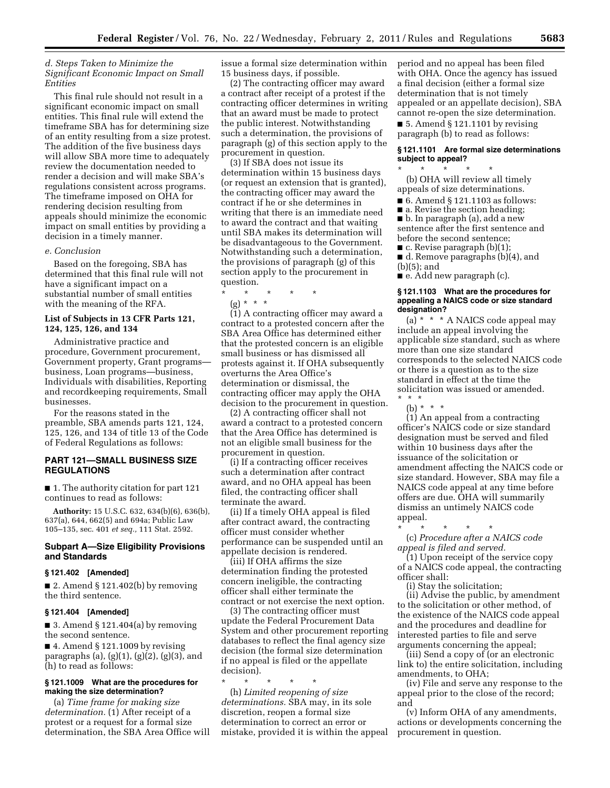## *d. Steps Taken to Minimize the Significant Economic Impact on Small Entities*

This final rule should not result in a significant economic impact on small entities. This final rule will extend the timeframe SBA has for determining size of an entity resulting from a size protest. The addition of the five business days will allow SBA more time to adequately review the documentation needed to render a decision and will make SBA's regulations consistent across programs. The timeframe imposed on OHA for rendering decision resulting from appeals should minimize the economic impact on small entities by providing a decision in a timely manner.

#### *e. Conclusion*

Based on the foregoing, SBA has determined that this final rule will not have a significant impact on a substantial number of small entities with the meaning of the RFA.

## **List of Subjects in 13 CFR Parts 121, 124, 125, 126, and 134**

Administrative practice and procedure, Government procurement, Government property, Grant programs business, Loan programs—business, Individuals with disabilities, Reporting and recordkeeping requirements, Small businesses.

For the reasons stated in the preamble, SBA amends parts 121, 124, 125, 126, and 134 of title 13 of the Code of Federal Regulations as follows:

## **PART 121—SMALL BUSINESS SIZE REGULATIONS**

■ 1. The authority citation for part 121 continues to read as follows:

**Authority:** 15 U.S.C. 632, 634(b)(6), 636(b), 637(a), 644, 662(5) and 694a; Public Law 105–135, sec. 401 *et seq.,* 111 Stat. 2592.

## **Subpart A—Size Eligibility Provisions and Standards**

## **§ 121.402 [Amended]**

 $\blacksquare$  2. Amend § 121.402(b) by removing the third sentence.

## **§ 121.404 [Amended]**

■ 3. Amend § 121.404(a) by removing the second sentence.

 $\blacksquare$  4. Amend § 121.1009 by revising paragraphs (a),  $(g)(1)$ ,  $(g)(2)$ ,  $(g)(3)$ , and (h) to read as follows:

## **§ 121.1009 What are the procedures for making the size determination?**

(a) *Time frame for making size determination.* (1) After receipt of a protest or a request for a formal size determination, the SBA Area Office will issue a formal size determination within 15 business days, if possible.

(2) The contracting officer may award a contract after receipt of a protest if the contracting officer determines in writing that an award must be made to protect the public interest. Notwithstanding such a determination, the provisions of paragraph (g) of this section apply to the procurement in question.

(3) If SBA does not issue its determination within 15 business days (or request an extension that is granted), the contracting officer may award the contract if he or she determines in writing that there is an immediate need to award the contract and that waiting until SBA makes its determination will be disadvantageous to the Government. Notwithstanding such a determination, the provisions of paragraph (g) of this section apply to the procurement in question.

- \* \* \* \* \*
	- (g) \* \* \*

(1) A contracting officer may award a contract to a protested concern after the SBA Area Office has determined either that the protested concern is an eligible small business or has dismissed all protests against it. If OHA subsequently overturns the Area Office's determination or dismissal, the contracting officer may apply the OHA decision to the procurement in question.

(2) A contracting officer shall not award a contract to a protested concern that the Area Office has determined is not an eligible small business for the procurement in question.

(i) If a contracting officer receives such a determination after contract award, and no OHA appeal has been filed, the contracting officer shall terminate the award.

(ii) If a timely OHA appeal is filed after contract award, the contracting officer must consider whether performance can be suspended until an appellate decision is rendered.

(iii) If OHA affirms the size determination finding the protested concern ineligible, the contracting officer shall either terminate the contract or not exercise the next option.

(3) The contracting officer must update the Federal Procurement Data System and other procurement reporting databases to reflect the final agency size decision (the formal size determination if no appeal is filed or the appellate decision).

\* \* \* \* \*

(h) *Limited reopening of size determinations.* SBA may, in its sole discretion, reopen a formal size determination to correct an error or mistake, provided it is within the appeal period and no appeal has been filed with OHA. Once the agency has issued a final decision (either a formal size determination that is not timely appealed or an appellate decision), SBA cannot re-open the size determination.

 $\blacksquare$  5. Amend § 121.1101 by revising paragraph (b) to read as follows:

## **§ 121.1101 Are formal size determinations subject to appeal?**

\* \* \* \* \* (b) OHA will review all timely appeals of size determinations.

- 6. Amend § 121.1103 as follows:
- a. Revise the section heading; ■ b. In paragraph (a), add a new
- sentence after the first sentence and before the second sentence;
	- $\blacksquare$  c. Revise paragraph (b)(1);
- d. Remove paragraphs (b)(4), and (b)(5); and
- e. Add new paragraph (c).

#### **§ 121.1103 What are the procedures for appealing a NAICS code or size standard designation?**

(a) \* \* \* A NAICS code appeal may include an appeal involving the applicable size standard, such as where more than one size standard corresponds to the selected NAICS code or there is a question as to the size standard in effect at the time the solicitation was issued or amended. \* \* \*

(b)  $* * * *$ 

(1) An appeal from a contracting officer's NAICS code or size standard designation must be served and filed within 10 business days after the issuance of the solicitation or amendment affecting the NAICS code or size standard. However, SBA may file a NAICS code appeal at any time before offers are due. OHA will summarily dismiss an untimely NAICS code appeal.

\* \* \* \* \* (c) *Procedure after a NAICS code appeal is filed and served.* 

(1) Upon receipt of the service copy of a NAICS code appeal, the contracting officer shall:

(i) Stay the solicitation;

(ii) Advise the public, by amendment to the solicitation or other method, of the existence of the NAICS code appeal and the procedures and deadline for interested parties to file and serve arguments concerning the appeal;

(iii) Send a copy of (or an electronic link to) the entire solicitation, including amendments, to OHA;

(iv) File and serve any response to the appeal prior to the close of the record; and

(v) Inform OHA of any amendments, actions or developments concerning the procurement in question.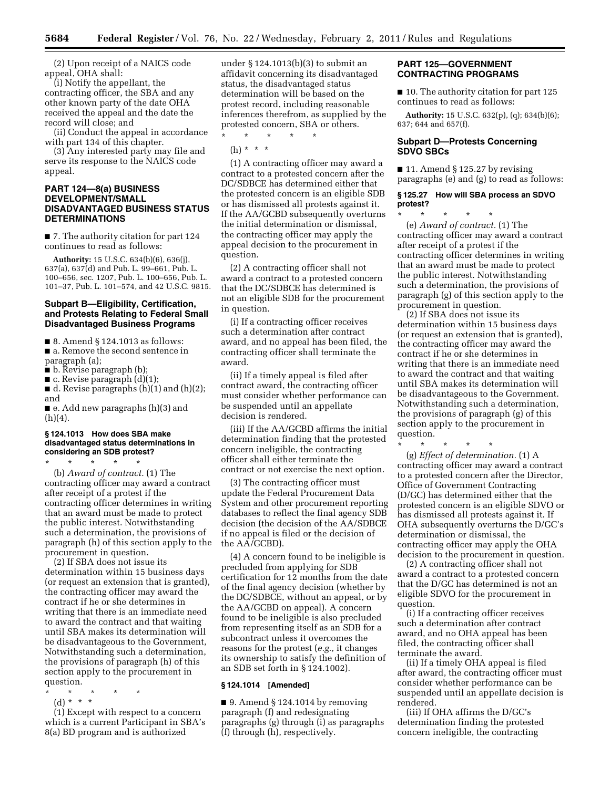(2) Upon receipt of a NAICS code appeal, OHA shall:

(i) Notify the appellant, the contracting officer, the SBA and any other known party of the date OHA received the appeal and the date the record will close; and

(ii) Conduct the appeal in accordance with part 134 of this chapter.

(3) Any interested party may file and serve its response to the NAICS code appeal.

## **PART 124—8(a) BUSINESS DEVELOPMENT/SMALL DISADVANTAGED BUSINESS STATUS DETERMINATIONS**

■ 7. The authority citation for part 124 continues to read as follows:

**Authority:** 15 U.S.C. 634(b)(6), 636(j), 637(a), 637(d) and Pub. L. 99–661, Pub. L. 100–656, sec. 1207, Pub. L. 100–656, Pub. L. 101–37, Pub. L. 101–574, and 42 U.S.C. 9815.

## **Subpart B—Eligibility, Certification, and Protests Relating to Federal Small Disadvantaged Business Programs**

■ 8. Amend § 124.1013 as follows:

■ a. Remove the second sentence in paragraph (a);

- b. Revise paragraph (b);
- $\blacksquare$  c. Revise paragraph  $(d)(1);$

 $\blacksquare$  d. Revise paragraphs (h)(1) and (h)(2); and

■ e. Add new paragraphs (h)(3) and (h)(4).

## **§ 124.1013 How does SBA make disadvantaged status determinations in considering an SDB protest?**

\* \* \* \* \* (b) *Award of contract.* (1) The contracting officer may award a contract after receipt of a protest if the contracting officer determines in writing that an award must be made to protect the public interest. Notwithstanding such a determination, the provisions of paragraph (h) of this section apply to the procurement in question.

(2) If SBA does not issue its determination within 15 business days (or request an extension that is granted), the contracting officer may award the contract if he or she determines in writing that there is an immediate need to award the contract and that waiting until SBA makes its determination will be disadvantageous to the Government, Notwithstanding such a determination, the provisions of paragraph (h) of this section apply to the procurement in question.

- \* \* \* \* \*
- (d) \* \* \*

(1) Except with respect to a concern which is a current Participant in SBA's 8(a) BD program and is authorized

under § 124.1013(b)(3) to submit an affidavit concerning its disadvantaged status, the disadvantaged status determination will be based on the protest record, including reasonable inferences therefrom, as supplied by the protested concern, SBA or others.

\* \* \* \* \*

(h) \* \* \*

(1) A contracting officer may award a contract to a protested concern after the DC/SDBCE has determined either that the protested concern is an eligible SDB or has dismissed all protests against it. If the AA/GCBD subsequently overturns the initial determination or dismissal, the contracting officer may apply the appeal decision to the procurement in question.

(2) A contracting officer shall not award a contract to a protested concern that the DC/SDBCE has determined is not an eligible SDB for the procurement in question.

(i) If a contracting officer receives such a determination after contract award, and no appeal has been filed, the contracting officer shall terminate the award.

(ii) If a timely appeal is filed after contract award, the contracting officer must consider whether performance can be suspended until an appellate decision is rendered.

(iii) If the AA/GCBD affirms the initial determination finding that the protested concern ineligible, the contracting officer shall either terminate the contract or not exercise the next option.

(3) The contracting officer must update the Federal Procurement Data System and other procurement reporting databases to reflect the final agency SDB decision (the decision of the AA/SDBCE if no appeal is filed or the decision of the AA/GCBD).

(4) A concern found to be ineligible is precluded from applying for SDB certification for 12 months from the date of the final agency decision (whether by the DC/SDBCE, without an appeal, or by the AA/GCBD on appeal). A concern found to be ineligible is also precluded from representing itself as an SDB for a subcontract unless it overcomes the reasons for the protest (*e.g.,* it changes its ownership to satisfy the definition of an SDB set forth in § 124.1002).

#### **§ 124.1014 [Amended]**

 $\blacksquare$  9. Amend § 124.1014 by removing paragraph (f) and redesignating paragraphs (g) through (i) as paragraphs (f) through (h), respectively.

## **PART 125—GOVERNMENT CONTRACTING PROGRAMS**

■ 10. The authority citation for part 125 continues to read as follows:

**Authority:** 15 U.S.C. 632(p), (q); 634(b)(6); 637; 644 and 657(f).

# **Subpart D—Protests Concerning SDVO SBCs**

■ 11. Amend § 125.27 by revising paragraphs (e) and (g) to read as follows:

#### **§ 125.27 How will SBA process an SDVO protest?**

\* \* \* \* \* (e) *Award of contract.* (1) The contracting officer may award a contract after receipt of a protest if the contracting officer determines in writing that an award must be made to protect the public interest. Notwithstanding such a determination, the provisions of paragraph (g) of this section apply to the

procurement in question. (2) If SBA does not issue its determination within 15 business days (or request an extension that is granted), the contracting officer may award the contract if he or she determines in writing that there is an immediate need to award the contract and that waiting until SBA makes its determination will be disadvantageous to the Government. Notwithstanding such a determination, the provisions of paragraph (g) of this section apply to the procurement in question.

\* \* \* \* \* (g) *Effect of determination.* (1) A contracting officer may award a contract to a protested concern after the Director, Office of Government Contracting (D/GC) has determined either that the protested concern is an eligible SDVO or has dismissed all protests against it. If OHA subsequently overturns the D/GC's determination or dismissal, the contracting officer may apply the OHA decision to the procurement in question.

(2) A contracting officer shall not award a contract to a protested concern that the D/GC has determined is not an eligible SDVO for the procurement in question.

(i) If a contracting officer receives such a determination after contract award, and no OHA appeal has been filed, the contracting officer shall terminate the award.

(ii) If a timely OHA appeal is filed after award, the contracting officer must consider whether performance can be suspended until an appellate decision is rendered.

(iii) If OHA affirms the D/GC's determination finding the protested concern ineligible, the contracting